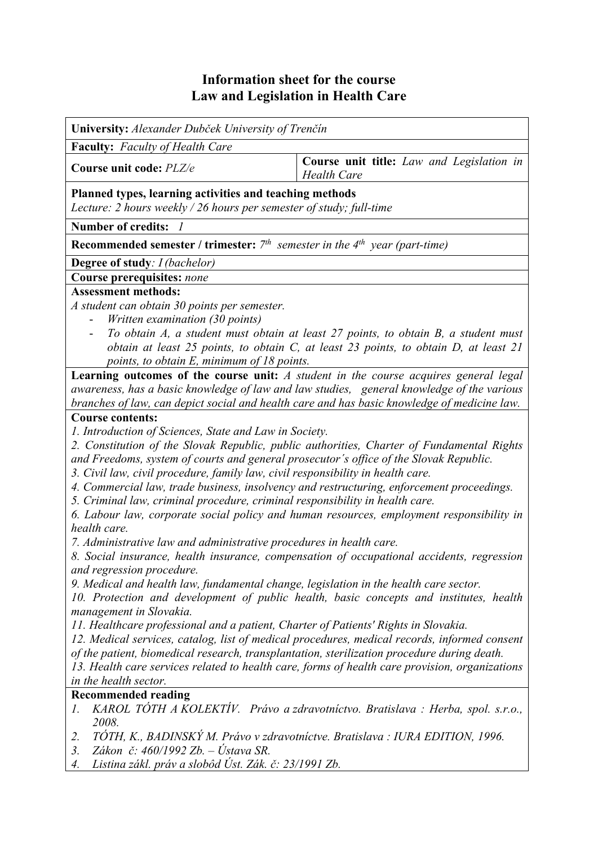## **Information sheet for the course Law and Legislation in Health Care**

**University:** *Alexander Dubček University of Trenčín* **Faculty:** *Faculty of Health Care* **Course unit code:** *PLZ/e* **Course unit title:** *Law and Legislation in Health Care* **Planned types, learning activities and teaching methods**  *Lecture: 2 hours weekly / 26 hours per semester of study; full-time*  **Number of credits:** *1* **Recommended semester / trimester:** *7th semester in the 4th year (part-time)* **Degree of study***: I (bachelor)* **Course prerequisites:** *none* **Assessment methods:**  *A student can obtain 30 points per semester.*  - *Written examination (30 points)*  - *To obtain A, a student must obtain at least 27 points, to obtain B, a student must obtain at least 25 points, to obtain C, at least 23 points, to obtain D, at least 21 points, to obtain E, minimum of 18 points.*  **Learning outcomes of the course unit:** *A student in the course acquires general legal awareness, has a basic knowledge of law and law studies, general knowledge of the various branches of law, can depict social and health care and has basic knowledge of medicine law.* **Course contents:**  *1. Introduction of Sciences, State and Law in Society. 2. Constitution of the Slovak Republic, public authorities, Charter of Fundamental Rights and Freedoms, system of courts and general prosecutor´s office of the Slovak Republic. 3. Civil law, civil procedure, family law, civil responsibility in health care. 4. Commercial law, trade business, insolvency and restructuring, enforcement proceedings. 5. Criminal law, criminal procedure, criminal responsibility in health care. 6. Labour law, corporate social policy and human resources, employment responsibility in health care. 7. Administrative law and administrative procedures in health care. 8. Social insurance, health insurance, compensation of occupational accidents, regression and regression procedure. 9. Medical and health law, fundamental change, legislation in the health care sector. 10. Protection and development of public health, basic concepts and institutes, health management in Slovakia. 11. Healthcare professional and a patient, Charter of Patients' Rights in Slovakia. 12. Medical services, catalog, list of medical procedures, medical records, informed consent of the patient, biomedical research, transplantation, sterilization procedure during death. 13. Health care services related to health care, forms of health care provision, organizations in the health sector.* **Recommended reading**  *1. KAROL TÓTH A KOLEKTÍV. Právo a zdravotníctvo. Bratislava : Herba, spol. s.r.o., 2008. 2. TÓTH, K., BADINSKÝ M. Právo v zdravotníctve. Bratislava : IURA EDITION, 1996. 3. Zákon č: 460/1992 Zb. – Ústava SR. 4. Listina zákl. práv a slobôd Úst. Zák. č: 23/1991 Zb.*